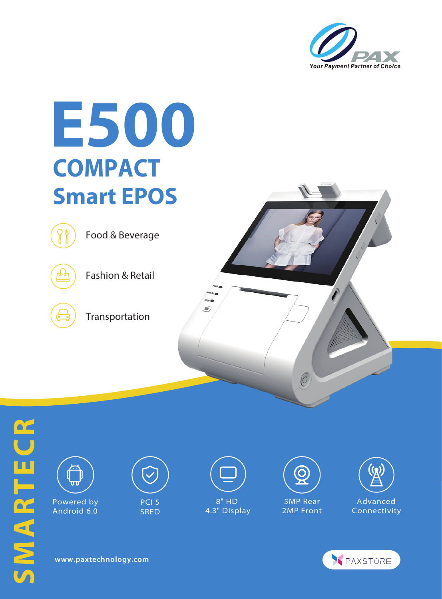



SMARTECR **SMARTECR**



Android 6.0



**SRED** 

8" HD 4.3" Display 5MP Rear

2MP Front

Advanced Connectivity



**www.paxtechnology.com**